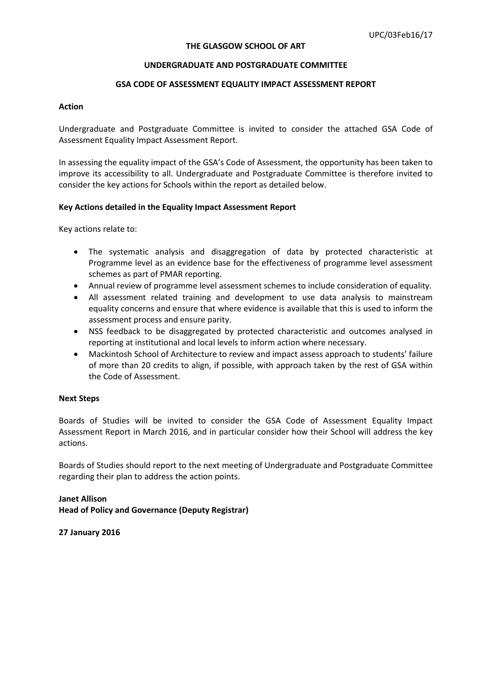#### **THE GLASGOW SCHOOL OF ART**

#### **UNDERGRADUATE AND POSTGRADUATE COMMITTEE**

### **GSA CODE OF ASSESSMENT EQUALITY IMPACT ASSESSMENT REPORT**

### **Action**

Undergraduate and Postgraduate Committee is invited to consider the attached GSA Code of Assessment Equality Impact Assessment Report.

In assessing the equality impact of the GSA's Code of Assessment, the opportunity has been taken to improve its accessibility to all. Undergraduate and Postgraduate Committee is therefore invited to consider the key actions for Schools within the report as detailed below.

#### **Key Actions detailed in the Equality Impact Assessment Report**

Key actions relate to:

- The systematic analysis and disaggregation of data by protected characteristic at Programme level as an evidence base for the effectiveness of programme level assessment schemes as part of PMAR reporting.
- Annual review of programme level assessment schemes to include consideration of equality.
- All assessment related training and development to use data analysis to mainstream equality concerns and ensure that where evidence is available that this is used to inform the assessment process and ensure parity.
- NSS feedback to be disaggregated by protected characteristic and outcomes analysed in reporting at institutional and local levels to inform action where necessary.
- Mackintosh School of Architecture to review and impact assess approach to students' failure of more than 20 credits to align, if possible, with approach taken by the rest of GSA within the Code of Assessment.

### **Next Steps**

Boards of Studies will be invited to consider the GSA Code of Assessment Equality Impact Assessment Report in March 2016, and in particular consider how their School will address the key actions.

Boards of Studies should report to the next meeting of Undergraduate and Postgraduate Committee regarding their plan to address the action points.

**Janet Allison Head of Policy and Governance (Deputy Registrar)**

**27 January 2016**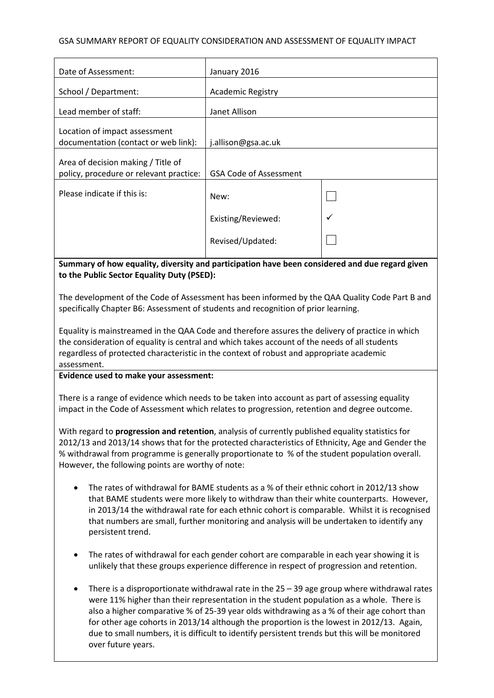## GSA SUMMARY REPORT OF EQUALITY CONSIDERATION AND ASSESSMENT OF EQUALITY IMPACT

| Date of Assessment:                                                                                                                                                                                                                                                                                          | January 2016                  |  |  |
|--------------------------------------------------------------------------------------------------------------------------------------------------------------------------------------------------------------------------------------------------------------------------------------------------------------|-------------------------------|--|--|
| School / Department:                                                                                                                                                                                                                                                                                         | <b>Academic Registry</b>      |  |  |
| Lead member of staff:                                                                                                                                                                                                                                                                                        | Janet Allison                 |  |  |
| Location of impact assessment                                                                                                                                                                                                                                                                                |                               |  |  |
| documentation (contact or web link):                                                                                                                                                                                                                                                                         | j.allison@gsa.ac.uk           |  |  |
| Area of decision making / Title of<br>policy, procedure or relevant practice:                                                                                                                                                                                                                                | <b>GSA Code of Assessment</b> |  |  |
| Please indicate if this is:                                                                                                                                                                                                                                                                                  | New:                          |  |  |
|                                                                                                                                                                                                                                                                                                              | Existing/Reviewed:            |  |  |
|                                                                                                                                                                                                                                                                                                              | Revised/Updated:              |  |  |
| Summary of how equality, diversity and participation have been considered and due regard given<br>to the Public Sector Equality Duty (PSED):                                                                                                                                                                 |                               |  |  |
| The development of the Code of Assessment has been informed by the QAA Quality Code Part B and<br>specifically Chapter B6: Assessment of students and recognition of prior learning.                                                                                                                         |                               |  |  |
| Equality is mainstreamed in the QAA Code and therefore assures the delivery of practice in which<br>the consideration of equality is central and which takes account of the needs of all students<br>regardless of protected characteristic in the context of robust and appropriate academic<br>assessment. |                               |  |  |
| Evidence used to make your assessment:                                                                                                                                                                                                                                                                       |                               |  |  |

There is a range of evidence which needs to be taken into account as part of assessing equality impact in the Code of Assessment which relates to progression, retention and degree outcome.

With regard to **progression and retention**, analysis of currently published equality statistics for 2012/13 and 2013/14 shows that for the protected characteristics of Ethnicity, Age and Gender the % withdrawal from programme is generally proportionate to % of the student population overall. However, the following points are worthy of note:

- The rates of withdrawal for BAME students as a % of their ethnic cohort in 2012/13 show that BAME students were more likely to withdraw than their white counterparts. However, in 2013/14 the withdrawal rate for each ethnic cohort is comparable. Whilst it is recognised that numbers are small, further monitoring and analysis will be undertaken to identify any persistent trend.
- The rates of withdrawal for each gender cohort are comparable in each year showing it is unlikely that these groups experience difference in respect of progression and retention.
- There is a disproportionate withdrawal rate in the 25 39 age group where withdrawal rates were 11% higher than their representation in the student population as a whole. There is also a higher comparative % of 25-39 year olds withdrawing as a % of their age cohort than for other age cohorts in 2013/14 although the proportion is the lowest in 2012/13. Again, due to small numbers, it is difficult to identify persistent trends but this will be monitored over future years.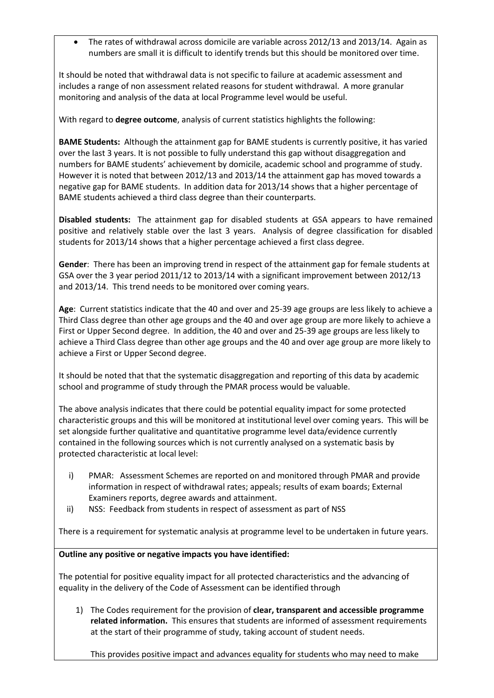• The rates of withdrawal across domicile are variable across 2012/13 and 2013/14. Again as numbers are small it is difficult to identify trends but this should be monitored over time.

It should be noted that withdrawal data is not specific to failure at academic assessment and includes a range of non assessment related reasons for student withdrawal. A more granular monitoring and analysis of the data at local Programme level would be useful.

With regard to **degree outcome**, analysis of current statistics highlights the following:

**BAME Students:** Although the attainment gap for BAME students is currently positive, it has varied over the last 3 years. It is not possible to fully understand this gap without disaggregation and numbers for BAME students' achievement by domicile, academic school and programme of study. However it is noted that between 2012/13 and 2013/14 the attainment gap has moved towards a negative gap for BAME students. In addition data for 2013/14 shows that a higher percentage of BAME students achieved a third class degree than their counterparts.

**Disabled students:** The attainment gap for disabled students at GSA appears to have remained positive and relatively stable over the last 3 years. Analysis of degree classification for disabled students for 2013/14 shows that a higher percentage achieved a first class degree.

**Gender**: There has been an improving trend in respect of the attainment gap for female students at GSA over the 3 year period 2011/12 to 2013/14 with a significant improvement between 2012/13 and 2013/14. This trend needs to be monitored over coming years.

**Age**: Current statistics indicate that the 40 and over and 25-39 age groups are less likely to achieve a Third Class degree than other age groups and the 40 and over age group are more likely to achieve a First or Upper Second degree. In addition, the 40 and over and 25-39 age groups are less likely to achieve a Third Class degree than other age groups and the 40 and over age group are more likely to achieve a First or Upper Second degree.

It should be noted that that the systematic disaggregation and reporting of this data by academic school and programme of study through the PMAR process would be valuable.

The above analysis indicates that there could be potential equality impact for some protected characteristic groups and this will be monitored at institutional level over coming years. This will be set alongside further qualitative and quantitative programme level data/evidence currently contained in the following sources which is not currently analysed on a systematic basis by protected characteristic at local level:

- i) PMAR: Assessment Schemes are reported on and monitored through PMAR and provide information in respect of withdrawal rates; appeals; results of exam boards; External Examiners reports, degree awards and attainment.
- ii) NSS: Feedback from students in respect of assessment as part of NSS

There is a requirement for systematic analysis at programme level to be undertaken in future years.

# **Outline any positive or negative impacts you have identified:**

The potential for positive equality impact for all protected characteristics and the advancing of equality in the delivery of the Code of Assessment can be identified through

1) The Codes requirement for the provision of **clear, transparent and accessible programme related information.** This ensures that students are informed of assessment requirements at the start of their programme of study, taking account of student needs.

This provides positive impact and advances equality for students who may need to make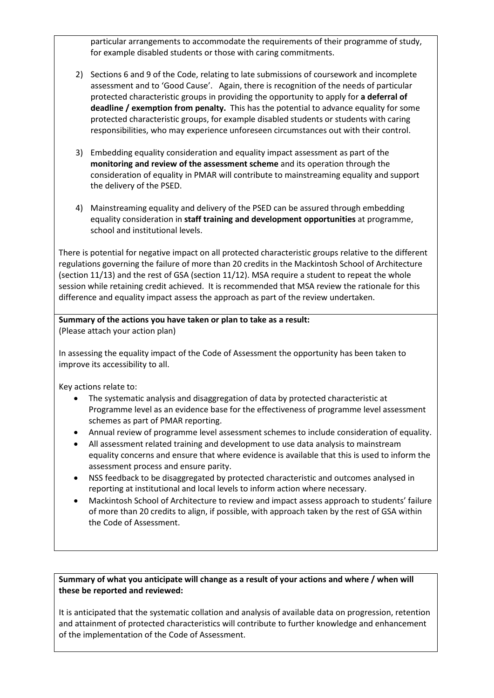particular arrangements to accommodate the requirements of their programme of study, for example disabled students or those with caring commitments.

- 2) Sections 6 and 9 of the Code, relating to late submissions of coursework and incomplete assessment and to 'Good Cause'. Again, there is recognition of the needs of particular protected characteristic groups in providing the opportunity to apply for **a deferral of deadline / exemption from penalty.** This has the potential to advance equality for some protected characteristic groups, for example disabled students or students with caring responsibilities, who may experience unforeseen circumstances out with their control.
- 3) Embedding equality consideration and equality impact assessment as part of the **monitoring and review of the assessment scheme** and its operation through the consideration of equality in PMAR will contribute to mainstreaming equality and support the delivery of the PSED.
- 4) Mainstreaming equality and delivery of the PSED can be assured through embedding equality consideration in **staff training and development opportunities** at programme, school and institutional levels.

There is potential for negative impact on all protected characteristic groups relative to the different regulations governing the failure of more than 20 credits in the Mackintosh School of Architecture (section 11/13) and the rest of GSA (section 11/12). MSA require a student to repeat the whole session while retaining credit achieved. It is recommended that MSA review the rationale for this difference and equality impact assess the approach as part of the review undertaken.

## **Summary of the actions you have taken or plan to take as a result:** (Please attach your action plan)

In assessing the equality impact of the Code of Assessment the opportunity has been taken to improve its accessibility to all.

Key actions relate to:

- The systematic analysis and disaggregation of data by protected characteristic at Programme level as an evidence base for the effectiveness of programme level assessment schemes as part of PMAR reporting.
- Annual review of programme level assessment schemes to include consideration of equality.
- All assessment related training and development to use data analysis to mainstream equality concerns and ensure that where evidence is available that this is used to inform the assessment process and ensure parity.
- NSS feedback to be disaggregated by protected characteristic and outcomes analysed in reporting at institutional and local levels to inform action where necessary.
- Mackintosh School of Architecture to review and impact assess approach to students' failure of more than 20 credits to align, if possible, with approach taken by the rest of GSA within the Code of Assessment.

# **Summary of what you anticipate will change as a result of your actions and where / when will these be reported and reviewed:**

It is anticipated that the systematic collation and analysis of available data on progression, retention and attainment of protected characteristics will contribute to further knowledge and enhancement of the implementation of the Code of Assessment.